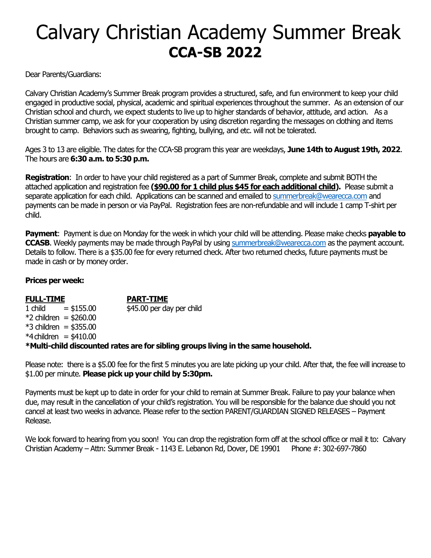# Calvary Christian Academy Summer Break **CCA-SB 2022**

Dear Parents/Guardians:

Calvary Christian Academy's Summer Break program provides a structured, safe, and fun environment to keep your child engaged in productive social, physical, academic and spiritual experiences throughout the summer. As an extension of our Christian school and church, we expect students to live up to higher standards of behavior, attitude, and action. As a Christian summer camp, we ask for your cooperation by using discretion regarding the messages on clothing and items brought to camp. Behaviors such as swearing, fighting, bullying, and etc. will not be tolerated.

Ages 3 to 13 are eligible. The dates for the CCA-SB program this year are weekdays, **June 14th to August 19th, 2022**. The hours are **6:30 a.m. to 5:30 p.m.**

**Registration**: In order to have your child registered as a part of Summer Break, complete and submit BOTH the attached application and registration fee **(\$90.00 for 1 child plus \$45 for each additional child).** Please submit a separate application for each child. Applications can be scanned and emailed to [summerbreak@wearecca.com](mailto:summerbreak@wearecca.com) and payments can be made in person or via PayPal. Registration fees are non-refundable and will include 1 camp T-shirt per child.

**Payment**: Payment is due on Monday for the week in which your child will be attending. Please make checks **payable to CCASB**. Weekly payments may be made through PayPal by usin[g summerbreak@wearecca.com](mailto:summerbreak@wearecca.com) as the payment account. Details to follow. There is a \$35.00 fee for every returned check. After two returned checks, future payments must be made in cash or by money order.

#### **Prices per week:**

## **FULL-TIME PART-TIME** 1 child  $= $155.00$   $$45.00$  per day per child \*2 children = \$260.00  $*3$  children = \$355.00  $*4$ children = \$410.00

#### **\*Multi-child discounted rates are for sibling groups living in the same household.**

Please note: there is a \$5.00 fee for the first 5 minutes you are late picking up your child. After that, the fee will increase to \$1.00 per minute. **Please pick up your child by 5:30pm.**

Payments must be kept up to date in order for your child to remain at Summer Break. Failure to pay your balance when due, may result in the cancellation of your child's registration. You will be responsible for the balance due should you not cancel at least two weeks in advance. Please refer to the section PARENT/GUARDIAN SIGNED RELEASES – Payment Release.

We look forward to hearing from you soon! You can drop the registration form off at the school office or mail it to: Calvary Christian Academy – Attn: Summer Break - 1143 E. Lebanon Rd, Dover, DE 19901Phone #: 302-697-7860